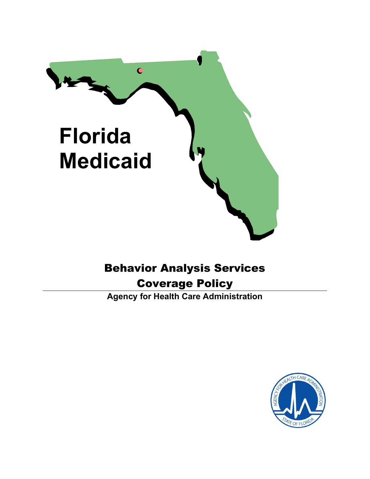

# Behavior Analysis Services

# Coverage Policy

Agency for Health Care Administration

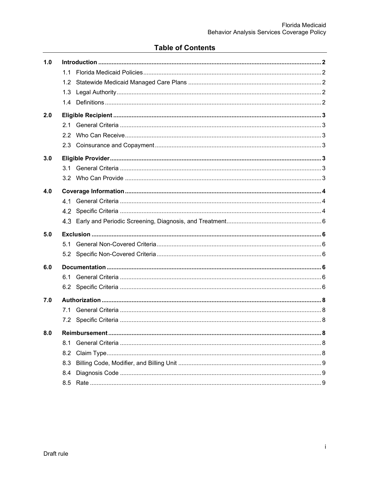# **Table of Contents**

| 1.0 |     |  |
|-----|-----|--|
|     | 11  |  |
|     | 1.2 |  |
|     | 1.3 |  |
|     |     |  |
| 2.0 |     |  |
|     | 2.1 |  |
|     | 2.2 |  |
|     |     |  |
| 3.0 |     |  |
|     | 3.1 |  |
|     |     |  |
| 4.0 |     |  |
|     | 41  |  |
|     | 4.2 |  |
|     |     |  |
| 5.0 |     |  |
|     | 5.1 |  |
|     | 5.2 |  |
| 6.0 |     |  |
|     | 6.1 |  |
|     | 6.2 |  |
| 7.0 |     |  |
|     | 7.1 |  |
|     |     |  |
| 8.0 |     |  |
|     | 8.1 |  |
|     | 8.2 |  |
|     | 8.3 |  |
|     | 8.4 |  |
|     | 8.5 |  |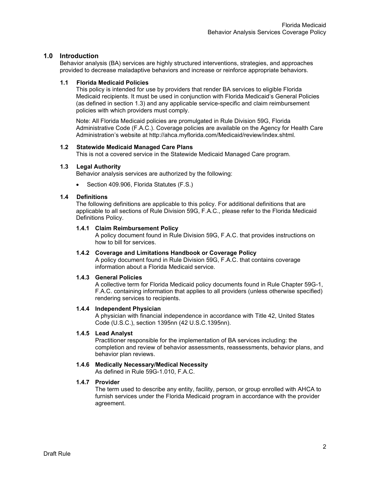# 1.0 Introduction

Behavior analysis (BA) services are highly structured interventions, strategies, and approaches provided to decrease maladaptive behaviors and increase or reinforce appropriate behaviors.

#### 1.1 Florida Medicaid Policies

This policy is intended for use by providers that render BA services to eligible Florida Medicaid recipients. It must be used in conjunction with Florida Medicaid's General Policies (as defined in section 1.3) and any applicable service-specific and claim reimbursement policies with which providers must comply.

Note: All Florida Medicaid policies are promulgated in Rule Division 59G, Florida Administrative Code (F.A.C.). Coverage policies are available on the Agency for Health Care Administration's website at http://ahca.myflorida.com/Medicaid/review/index.shtml.

# 1.2 Statewide Medicaid Managed Care Plans

This is not a covered service in the Statewide Medicaid Managed Care program.

# 1.3 Legal Authority

Behavior analysis services are authorized by the following:

Section 409.906, Florida Statutes (F.S.)

# 1.4 Definitions

The following definitions are applicable to this policy. For additional definitions that are applicable to all sections of Rule Division 59G, F.A.C., please refer to the Florida Medicaid Definitions Policy.

#### 1.4.1 Claim Reimbursement Policy

A policy document found in Rule Division 59G, F.A.C. that provides instructions on how to bill for services.

# 1.4.2 Coverage and Limitations Handbook or Coverage Policy

A policy document found in Rule Division 59G, F.A.C. that contains coverage information about a Florida Medicaid service.

#### 1.4.3 General Policies

A collective term for Florida Medicaid policy documents found in Rule Chapter 59G-1, F.A.C. containing information that applies to all providers (unless otherwise specified) rendering services to recipients.

#### 1.4.4 Independent Physician

A physician with financial independence in accordance with Title 42, United States Code (U.S.C.), section 1395nn (42 U.S.C.1395nn).

#### 1.4.5 Lead Analyst

Practitioner responsible for the implementation of BA services including: the completion and review of behavior assessments, reassessments, behavior plans, and behavior plan reviews.

# 1.4.6 Medically Necessary/Medical Necessity

As defined in Rule 59G-1.010, F.A.C.

# 1.4.7 Provider

The term used to describe any entity, facility, person, or group enrolled with AHCA to furnish services under the Florida Medicaid program in accordance with the provider agreement.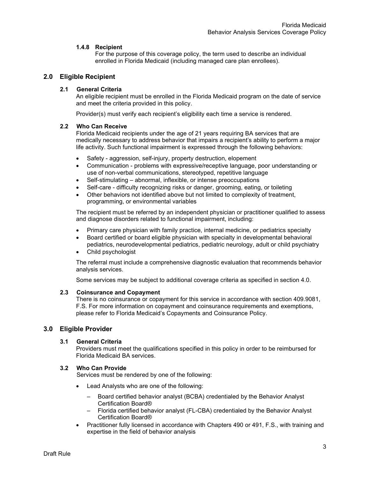# 1.4.8 Recipient

For the purpose of this coverage policy, the term used to describe an individual enrolled in Florida Medicaid (including managed care plan enrollees).

# 2.0 Eligible Recipient

# 2.1 General Criteria

An eligible recipient must be enrolled in the Florida Medicaid program on the date of service and meet the criteria provided in this policy.

Provider(s) must verify each recipient's eligibility each time a service is rendered.

# 2.2 Who Can Receive

Florida Medicaid recipients under the age of 21 years requiring BA services that are medically necessary to address behavior that impairs a recipient's ability to perform a major life activity. Such functional impairment is expressed through the following behaviors:

- Safety aggression, self-injury, property destruction, elopement
- Communication problems with expressive/receptive language, poor understanding or use of non-verbal communications, stereotyped, repetitive language
- Self-stimulating abnormal, inflexible, or intense preoccupations
- Self-care difficulty recognizing risks or danger, grooming, eating, or toileting
- Other behaviors not identified above but not limited to complexity of treatment, programming, or environmental variables

The recipient must be referred by an independent physician or practitioner qualified to assess and diagnose disorders related to functional impairment, including:

- Primary care physician with family practice, internal medicine, or pediatrics specialty
- Board certified or board eligible physician with specialty in developmental behavioral pediatrics, neurodevelopmental pediatrics, pediatric neurology, adult or child psychiatry
- Child psychologist

The referral must include a comprehensive diagnostic evaluation that recommends behavior analysis services.

Some services may be subject to additional coverage criteria as specified in section 4.0.

#### 2.3 Coinsurance and Copayment

There is no coinsurance or copayment for this service in accordance with section 409.9081, F.S. For more information on copayment and coinsurance requirements and exemptions, please refer to Florida Medicaid's Copayments and Coinsurance Policy.

# 3.0 Eligible Provider

#### 3.1 General Criteria

Providers must meet the qualifications specified in this policy in order to be reimbursed for Florida Medicaid BA services.

# 3.2 Who Can Provide

Services must be rendered by one of the following:

- Lead Analysts who are one of the following:
	- Board certified behavior analyst (BCBA) credentialed by the Behavior Analyst Certification Board®
	- Florida certified behavior analyst (FL-CBA) credentialed by the Behavior Analyst Certification Board®
- Practitioner fully licensed in accordance with Chapters 490 or 491, F.S., with training and expertise in the field of behavior analysis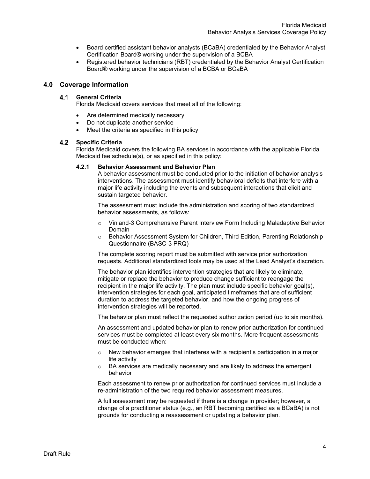- Board certified assistant behavior analysts (BCaBA) credentialed by the Behavior Analyst Certification Board® working under the supervision of a BCBA
- Registered behavior technicians (RBT) credentialed by the Behavior Analyst Certification Board® working under the supervision of a BCBA or BCaBA

# 4.0 Coverage Information

# 4.1 General Criteria

Florida Medicaid covers services that meet all of the following:

- Are determined medically necessary
- Do not duplicate another service
- Meet the criteria as specified in this policy

#### 4.2 Specific Criteria

Florida Medicaid covers the following BA services in accordance with the applicable Florida Medicaid fee schedule(s), or as specified in this policy:

#### 4.2.1 Behavior Assessment and Behavior Plan

A behavior assessment must be conducted prior to the initiation of behavior analysis interventions. The assessment must identify behavioral deficits that interfere with a major life activity including the events and subsequent interactions that elicit and sustain targeted behavior.

The assessment must include the administration and scoring of two standardized behavior assessments, as follows:

- o Vinland-3 Comprehensive Parent Interview Form Including Maladaptive Behavior Domain
- o Behavior Assessment System for Children, Third Edition, Parenting Relationship Questionnaire (BASC-3 PRQ)

The complete scoring report must be submitted with service prior authorization requests. Additional standardized tools may be used at the Lead Analyst's discretion.

The behavior plan identifies intervention strategies that are likely to eliminate, mitigate or replace the behavior to produce change sufficient to reengage the recipient in the major life activity. The plan must include specific behavior goal(s), intervention strategies for each goal, anticipated timeframes that are of sufficient duration to address the targeted behavior, and how the ongoing progress of intervention strategies will be reported.

The behavior plan must reflect the requested authorization period (up to six months).

An assessment and updated behavior plan to renew prior authorization for continued services must be completed at least every six months. More frequent assessments must be conducted when:

- o New behavior emerges that interferes with a recipient's participation in a major life activity
- o BA services are medically necessary and are likely to address the emergent behavior

Each assessment to renew prior authorization for continued services must include a re-administration of the two required behavior assessment measures.

A full assessment may be requested if there is a change in provider; however, a change of a practitioner status (e.g., an RBT becoming certified as a BCaBA) is not grounds for conducting a reassessment or updating a behavior plan.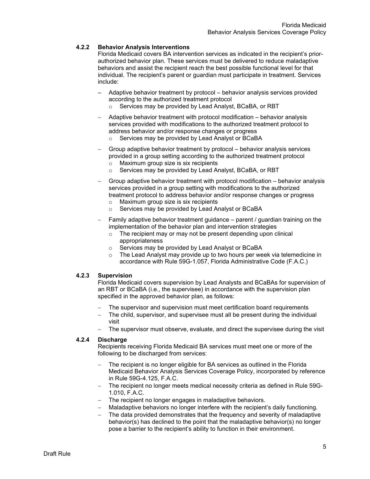# 4.2.2 Behavior Analysis Interventions

Florida Medicaid covers BA intervention services as indicated in the recipient's priorauthorized behavior plan. These services must be delivered to reduce maladaptive behaviors and assist the recipient reach the best possible functional level for that individual. The recipient's parent or guardian must participate in treatment. Services include:

- Adaptive behavior treatment by protocol behavior analysis services provided according to the authorized treatment protocol
	- o Services may be provided by Lead Analyst, BCaBA, or RBT
- Adaptive behavior treatment with protocol modification behavior analysis services provided with modifications to the authorized treatment protocol to address behavior and/or response changes or progress
	- o Services may be provided by Lead Analyst or BCaBA
- Group adaptive behavior treatment by protocol behavior analysis services provided in a group setting according to the authorized treatment protocol
	- o Maximum group size is six recipients
	- o Services may be provided by Lead Analyst, BCaBA, or RBT
- Group adaptive behavior treatment with protocol modification behavior analysis services provided in a group setting with modifications to the authorized treatment protocol to address behavior and/or response changes or progress
	- o Maximum group size is six recipients
	- o Services may be provided by Lead Analyst or BCaBA
- Family adaptive behavior treatment guidance parent / guardian training on the implementation of the behavior plan and intervention strategies
	- $\circ$  The recipient may or may not be present depending upon clinical appropriateness
	- o Services may be provided by Lead Analyst or BCaBA
	- $\circ$  The Lead Analyst may provide up to two hours per week via telemedicine in accordance with Rule 59G-1.057, Florida Administrative Code (F.A.C.)

#### 4.2.3 Supervision

Florida Medicaid covers supervision by Lead Analysts and BCaBAs for supervision of an RBT or BCaBA (i.e., the supervisee) in accordance with the supervision plan specified in the approved behavior plan, as follows:

- The supervisor and supervision must meet certification board requirements
- The child, supervisor, and supervisee must all be present during the individual visit
- The supervisor must observe, evaluate, and direct the supervisee during the visit

# 4.2.4 Discharge

Recipients receiving Florida Medicaid BA services must meet one or more of the following to be discharged from services:

- The recipient is no longer eligible for BA services as outlined in the Florida Medicaid Behavior Analysis Services Coverage Policy, incorporated by reference in Rule 59G-4.125, F.A.C.
- The recipient no longer meets medical necessity criteria as defined in Rule 59G-1.010, F.A.C.
- The recipient no longer engages in maladaptive behaviors.
- Maladaptive behaviors no longer interfere with the recipient's daily functioning.
- The data provided demonstrates that the frequency and severity of maladaptive behavior(s) has declined to the point that the maladaptive behavior(s) no longer pose a barrier to the recipient's ability to function in their environment.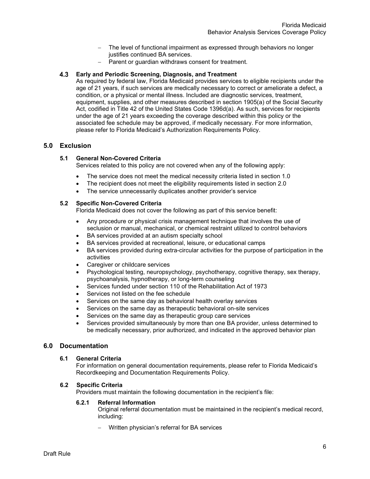- The level of functional impairment as expressed through behaviors no longer justifies continued BA services.
- $-$  Parent or guardian withdraws consent for treatment.

# Early and Periodic Screening, Diagnosis, and Treatment

As required by federal law, Florida Medicaid provides services to eligible recipients under the age of 21 years, if such services are medically necessary to correct or ameliorate a defect, a condition, or a physical or mental illness. Included are diagnostic services, treatment, equipment, supplies, and other measures described in section 1905(a) of the Social Security Act, codified in Title 42 of the United States Code 1396d(a). As such, services for recipients under the age of 21 years exceeding the coverage described within this policy or the associated fee schedule may be approved, if medically necessary. For more information, please refer to Florida Medicaid's Authorization Requirements Policy.

# 5.0 Exclusion

# 5.1 General Non-Covered Criteria

Services related to this policy are not covered when any of the following apply:

- The service does not meet the medical necessity criteria listed in section 1.0
- The recipient does not meet the eligibility requirements listed in section 2.0
- The service unnecessarily duplicates another provider's service

# 5.2 Specific Non-Covered Criteria

Florida Medicaid does not cover the following as part of this service benefit:

- Any procedure or physical crisis management technique that involves the use of seclusion or manual, mechanical, or chemical restraint utilized to control behaviors
- BA services provided at an autism specialty school
- BA services provided at recreational, leisure, or educational camps
- BA services provided during extra-circular activities for the purpose of participation in the activities
- Caregiver or childcare services
- Psychological testing, neuropsychology, psychotherapy, cognitive therapy, sex therapy, psychoanalysis, hypnotherapy, or long-term counseling
- Services funded under section 110 of the Rehabilitation Act of 1973
- Services not listed on the fee schedule
- Services on the same day as behavioral health overlay services
- Services on the same day as therapeutic behavioral on-site services
- Services on the same day as therapeutic group care services
- Services provided simultaneously by more than one BA provider, unless determined to be medically necessary, prior authorized, and indicated in the approved behavior plan

# 6.0 Documentation

#### 6.1 General Criteria

For information on general documentation requirements, please refer to Florida Medicaid's Recordkeeping and Documentation Requirements Policy.

#### 6.2 Specific Criteria

Providers must maintain the following documentation in the recipient's file:

#### 6.2.1 Referral Information

Original referral documentation must be maintained in the recipient's medical record, including:

Written physician's referral for BA services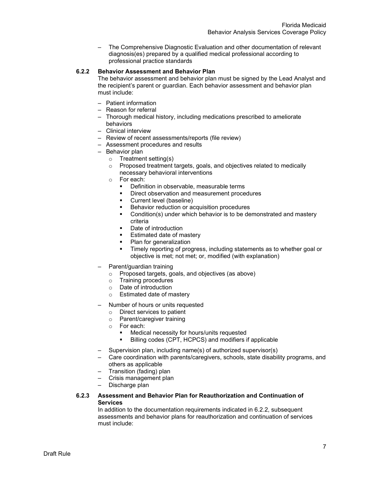– The Comprehensive Diagnostic Evaluation and other documentation of relevant diagnosis(es) prepared by a qualified medical professional according to professional practice standards

# 6.2.2 Behavior Assessment and Behavior Plan

The behavior assessment and behavior plan must be signed by the Lead Analyst and the recipient's parent or guardian. Each behavior assessment and behavior plan must include:

- Patient information
- Reason for referral
- Thorough medical history, including medications prescribed to ameliorate behaviors
- Clinical interview
- Review of recent assessments/reports (file review)
- Assessment procedures and results
- Behavior plan
	- o Treatment setting(s)
	- o Proposed treatment targets, goals, and objectives related to medically necessary behavioral interventions
	- o For each:
		- **•** Definition in observable, measurable terms
		- **Direct observation and measurement procedures**
		- **Current level (baseline)**
		- Behavior reduction or acquisition procedures
		- Condition(s) under which behavior is to be demonstrated and mastery criteria
		- **Date of introduction**
		- **Estimated date of mastery**
		- Plan for generalization
		- Timely reporting of progress, including statements as to whether goal or objective is met; not met; or, modified (with explanation)
- Parent/guardian training
	- o Proposed targets, goals, and objectives (as above)
	- o Training procedures
	- o Date of introduction
	- o Estimated date of mastery
- Number of hours or units requested
	- o Direct services to patient
	- o Parent/caregiver training
	- o For each:
		- Medical necessity for hours/units requested
		- Billing codes (CPT, HCPCS) and modifiers if applicable
- Supervision plan, including name(s) of authorized supervisor(s)
- Care coordination with parents/caregivers, schools, state disability programs, and others as applicable
- Transition (fading) plan
- Crisis management plan
- Discharge plan

### 6.2.3 Assessment and Behavior Plan for Reauthorization and Continuation of Services

In addition to the documentation requirements indicated in 6.2.2, subsequent assessments and behavior plans for reauthorization and continuation of services must include: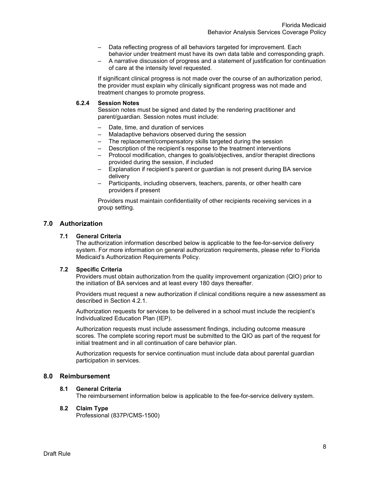- Data reflecting progress of all behaviors targeted for improvement. Each behavior under treatment must have its own data table and corresponding graph.
- A narrative discussion of progress and a statement of justification for continuation of care at the intensity level requested.

If significant clinical progress is not made over the course of an authorization period, the provider must explain why clinically significant progress was not made and treatment changes to promote progress.

# 6.2.4 Session Notes

Session notes must be signed and dated by the rendering practitioner and parent/guardian. Session notes must include:

- Date, time, and duration of services
- Maladaptive behaviors observed during the session
- The replacement/compensatory skills targeted during the session
- Description of the recipient's response to the treatment interventions
- Protocol modification, changes to goals/objectives, and/or therapist directions provided during the session, if included
- Explanation if recipient's parent or guardian is not present during BA service delivery
- Participants, including observers, teachers, parents, or other health care providers if present

Providers must maintain confidentiality of other recipients receiving services in a group setting.

# 7.0 Authorization

# 7.1 General Criteria

The authorization information described below is applicable to the fee-for-service delivery system. For more information on general authorization requirements, please refer to Florida Medicaid's Authorization Requirements Policy.

#### 7.2 Specific Criteria

Providers must obtain authorization from the quality improvement organization (QIO) prior to the initiation of BA services and at least every 180 days thereafter.

Providers must request a new authorization if clinical conditions require a new assessment as described in Section 4.2.1.

Authorization requests for services to be delivered in a school must include the recipient's Individualized Education Plan (IEP).

Authorization requests must include assessment findings, including outcome measure scores. The complete scoring report must be submitted to the QIO as part of the request for initial treatment and in all continuation of care behavior plan.

Authorization requests for service continuation must include data about parental guardian participation in services.

# 8.0 Reimbursement

# 8.1 General Criteria

The reimbursement information below is applicable to the fee-for-service delivery system.

#### 8.2 Claim Type

Professional (837P/CMS-1500)